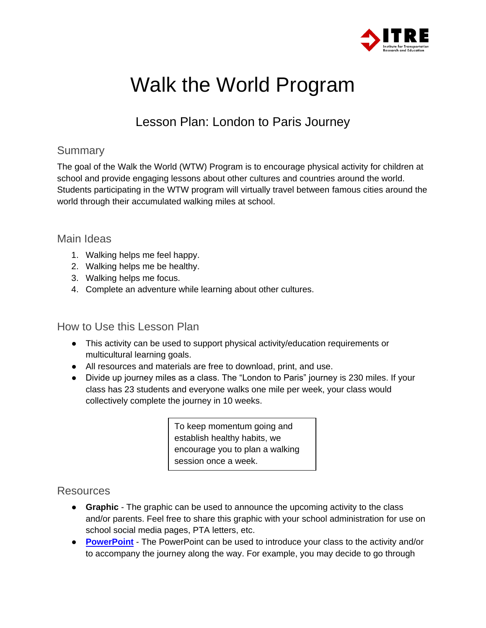

# Walk the World Program

# Lesson Plan: London to Paris Journey

#### **Summary**

The goal of the Walk the World (WTW) Program is to encourage physical activity for children at school and provide engaging lessons about other cultures and countries around the world. Students participating in the WTW program will virtually travel between famous cities around the world through their accumulated walking miles at school.

#### Main Ideas

- 1. Walking helps me feel happy.
- 2. Walking helps me be healthy.
- 3. Walking helps me focus.
- 4. Complete an adventure while learning about other cultures.

#### How to Use this Lesson Plan

- This activity can be used to support physical activity/education requirements or multicultural learning goals.
- All resources and materials are free to download, print, and use.
- Divide up journey miles as a class. The "London to Paris" journey is 230 miles. If your class has 23 students and everyone walks one mile per week, your class would collectively complete the journey in 10 weeks.

To keep momentum going and establish healthy habits, we encourage you to plan a walking session once a week.

#### **Resources**

- **Graphic**  The graphic can be used to announce the upcoming activity to the class and/or parents. Feel free to share this graphic with your school administration for use on school social media pages, PTA letters, etc.
- **[PowerPoint](https://ncvisionzero.org/wp-content/uploads/2022/06/Walk-the-World-London-to-Paris-Presentation-TJCOG-ITRE-2022.pptx)** The PowerPoint can be used to introduce your class to the activity and/or to accompany the journey along the way. For example, you may decide to go through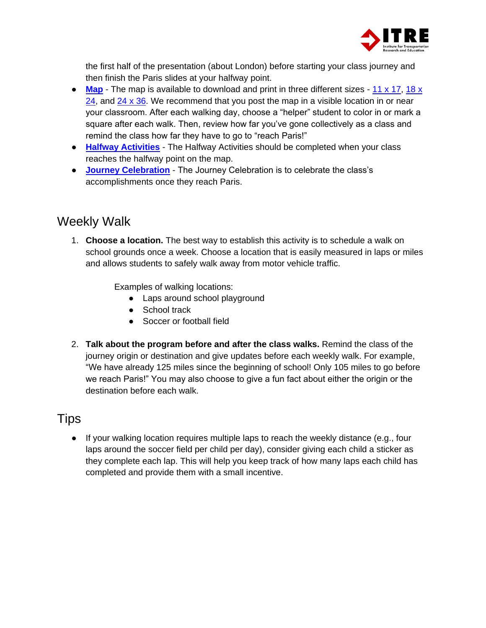

the first half of the presentation (about London) before starting your class journey and then finish the Paris slides at your halfway point.

- **[Map](https://ncvisionzero.org/wp-content/uploads/2022/06/11-x-17-London-Paris-TJCOG-ITRE-2022-scaled.jpg)** The map is available to download and print in three different sizes [11 x 17,](https://ncvisionzero.org/wp-content/uploads/2022/06/11-x-17-London-Paris-TJCOG-ITRE-2022-scaled.jpg) 18 x [24,](https://ncvisionzero.org/wp-content/uploads/2022/06/18-x-24-London-Paris-TJCOG-ITRE-2022-scaled.jpg) and  $24 \times 36$ . We recommend that you post the map in a visible location in or near your classroom. After each walking day, choose a "helper" student to color in or mark a square after each walk. Then, review how far you've gone collectively as a class and remind the class how far they have to go to "reach Paris!"
- **[Halfway Activities](#page-2-0)** The Halfway Activities should be completed when your class reaches the halfway point on the map.
- **[Journey Celebration](#page-2-1)** The Journey Celebration is to celebrate the class's accomplishments once they reach Paris.

## Weekly Walk

1. **Choose a location.** The best way to establish this activity is to schedule a walk on school grounds once a week. Choose a location that is easily measured in laps or miles and allows students to safely walk away from motor vehicle traffic.

Examples of walking locations:

- Laps around school playground
- School track
- Soccer or football field
- 2. **Talk about the program before and after the class walks.** Remind the class of the journey origin or destination and give updates before each weekly walk. For example, "We have already 125 miles since the beginning of school! Only 105 miles to go before we reach Paris!" You may also choose to give a fun fact about either the origin or the destination before each walk.

### **Tips**

 $\bullet$  If your walking location requires multiple laps to reach the weekly distance (e.g., four laps around the soccer field per child per day), consider giving each child a sticker as they complete each lap. This will help you keep track of how many laps each child has completed and provide them with a small incentive.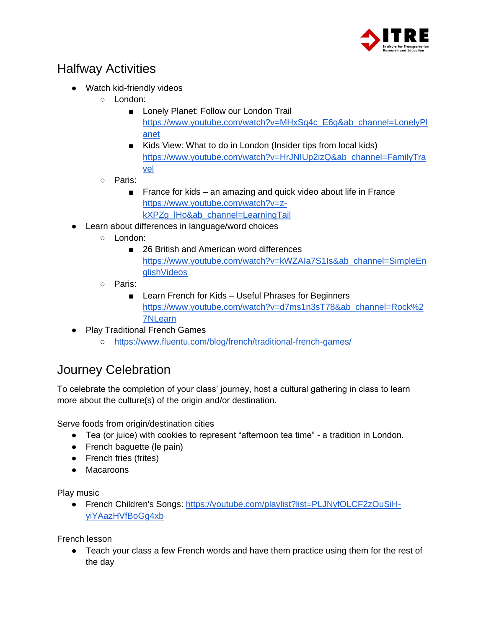

## <span id="page-2-0"></span>Halfway Activities

- Watch kid-friendly videos
	- London:
		- Lonely Planet: Follow our London Trail [https://www.youtube.com/watch?v=MHxSq4c\\_E6g&ab\\_channel=LonelyPl](https://www.youtube.com/watch?v=MHxSq4c_E6g&ab_channel=LonelyPlanet) [anet](https://www.youtube.com/watch?v=MHxSq4c_E6g&ab_channel=LonelyPlanet)
		- Kids View: What to do in London (Insider tips from local kids) [https://www.youtube.com/watch?v=HrJNIUp2izQ&ab\\_channel=FamilyTra](https://www.youtube.com/watch?v=HrJNIUp2izQ&ab_channel=FamilyTravel) [vel](https://www.youtube.com/watch?v=HrJNIUp2izQ&ab_channel=FamilyTravel)
	- Paris:
		- France for kids an amazing and quick video about life in France [https://www.youtube.com/watch?v=z](https://www.youtube.com/watch?v=z-kXPZg_lHo&ab_channel=LearningTail)kXPZq\_lHo&ab\_channel=LearningTail
- Learn about differences in language/word choices
	- London:
		- 26 British and American word differences [https://www.youtube.com/watch?v=kWZAIa7S1Is&ab\\_channel=SimpleEn](https://www.youtube.com/watch?v=kWZAIa7S1Is&ab_channel=SimpleEnglishVideos) [glishVideos](https://www.youtube.com/watch?v=kWZAIa7S1Is&ab_channel=SimpleEnglishVideos)
	- Paris:
		- Learn French for Kids Useful Phrases for Beginners [https://www.youtube.com/watch?v=d7ms1n3sT78&ab\\_channel=Rock%2](https://www.youtube.com/watch?v=d7ms1n3sT78&ab_channel=Rock%27NLearn) [7NLearn](https://www.youtube.com/watch?v=d7ms1n3sT78&ab_channel=Rock%27NLearn)
- Play Traditional French Games
	- <https://www.fluentu.com/blog/french/traditional-french-games/>

## <span id="page-2-1"></span>Journey Celebration

To celebrate the completion of your class' journey, host a cultural gathering in class to learn more about the culture(s) of the origin and/or destination.

Serve foods from origin/destination cities

- Tea (or juice) with cookies to represent "afternoon tea time" a tradition in London.
- French baguette (le pain)
- French fries (frites)
- Macaroons

Play music

● French Children's Songs: [https://youtube.com/playlist?list=PLJNyfOLCF2zOuSiH](https://youtube.com/playlist?list=PLJNyfOLCF2zOuSiH-yiYAazHVfBoGg4xb)[yiYAazHVfBoGg4xb](https://youtube.com/playlist?list=PLJNyfOLCF2zOuSiH-yiYAazHVfBoGg4xb)

French lesson

• Teach your class a few French words and have them practice using them for the rest of the day